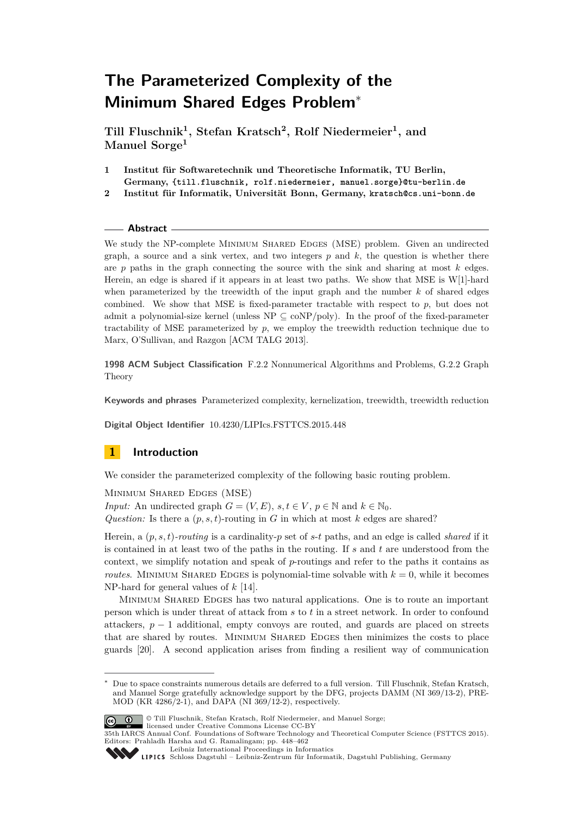**Till Fluschnik<sup>1</sup> , Stefan Kratsch<sup>2</sup> , Rolf Niedermeier<sup>1</sup> , and Manuel Sorge<sup>1</sup>**

- **1 Institut für Softwaretechnik und Theoretische Informatik, TU Berlin, Germany, {till.fluschnik, rolf.niedermeier, manuel.sorge}@tu-berlin.de**
- **2 Institut für Informatik, Universität Bonn, Germany, kratsch@cs.uni-bonn.de**

### **Abstract**

We study the NP-complete MINIMUM SHARED EDGES (MSE) problem. Given an undirected graph, a source and a sink vertex, and two integers *p* and *k*, the question is whether there are *p* paths in the graph connecting the source with the sink and sharing at most *k* edges. Herein, an edge is shared if it appears in at least two paths. We show that MSE is W[1]-hard when parameterized by the treewidth of the input graph and the number *k* of shared edges combined. We show that MSE is fixed-parameter tractable with respect to *p*, but does not admit a polynomial-size kernel (unless  $NP \subseteq coNP/poly$ ). In the proof of the fixed-parameter tractability of MSE parameterized by *p*, we employ the treewidth reduction technique due to Marx, O'Sullivan, and Razgon [ACM TALG 2013].

**1998 ACM Subject Classification** F.2.2 Nonnumerical Algorithms and Problems, G.2.2 Graph Theory

**Keywords and phrases** Parameterized complexity, kernelization, treewidth, treewidth reduction

**Digital Object Identifier** [10.4230/LIPIcs.FSTTCS.2015.448](http://dx.doi.org/10.4230/LIPIcs.FSTTCS.2015.448)

# **1 Introduction**

We consider the parameterized complexity of the following basic routing problem.

Minimum Shared Edges (MSE) *Input:* An undirected graph  $G = (V, E)$ ,  $s, t \in V$ ,  $p \in \mathbb{N}$  and  $k \in \mathbb{N}_0$ . *Question:* Is there a  $(p, s, t)$ -routing in *G* in which at most *k* edges are shared?

Herein, a (*p, s, t*)*-routing* is a cardinality-*p* set of *s*-*t* paths, and an edge is called *shared* if it is contained in at least two of the paths in the routing. If *s* and *t* are understood from the context, we simplify notation and speak of *p*-routings and refer to the paths it contains as *routes*. MINIMUM SHARED EDGES is polynomial-time solvable with  $k = 0$ , while it becomes NP-hard for general values of *k* [\[14\]](#page-13-0).

MINIMUM SHARED EDGES has two natural applications. One is to route an important person which is under threat of attack from *s* to *t* in a street network. In order to confound attackers,  $p - 1$  additional, empty convoys are routed, and guards are placed on streets that are shared by routes. Minimum Shared Edges then minimizes the costs to place guards [\[20\]](#page-14-0). A second application arises from finding a resilient way of communication

<sup>∗</sup> Due to space constraints numerous details are deferred to a full version. Till Fluschnik, Stefan Kratsch, and Manuel Sorge gratefully acknowledge support by the DFG, projects DAMM (NI 369/13-2), PRE-MOD (KR 4286/2-1), and DAPA (NI 369/12-2), respectively.



<sup>©</sup> Till Fluschnik, Stefan Kratsch, Rolf Niedermeier, and Manuel Sorge; licensed under Creative Commons License CC-BY

[Leibniz International Proceedings in Informatics](http://www.dagstuhl.de/lipics/)

<sup>35</sup>th IARCS Annual Conf. Foundations of Software Technology and Theoretical Computer Science (FSTTCS 2015). Editors: Prahladh Harsha and G. Ramalingam; pp. 448[–462](#page-14-1)

Leibniz International Froceedings in miorimetric<br>
LIPICS [Schloss Dagstuhl – Leibniz-Zentrum für Informatik, Dagstuhl Publishing, Germany](http://www.dagstuhl.de)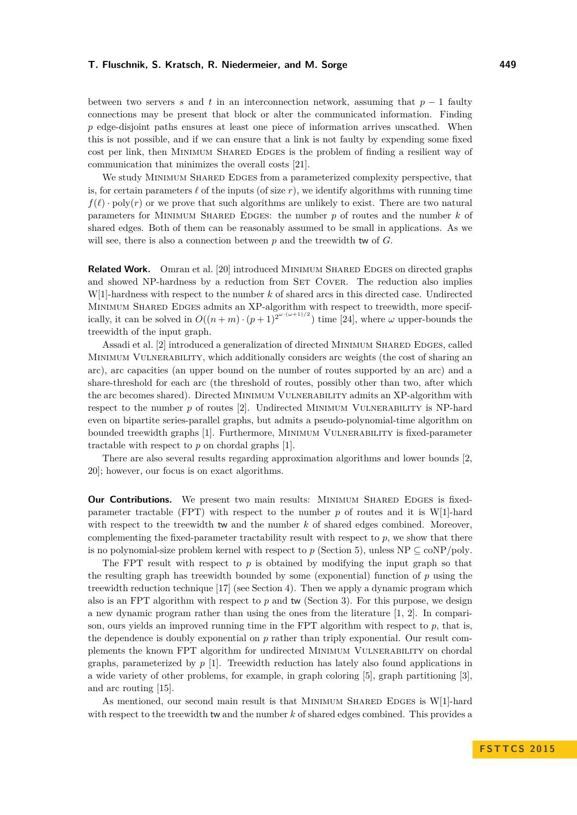between two servers *s* and *t* in an interconnection network, assuming that *p* − 1 faulty connections may be present that block or alter the communicated information. Finding p edge-disjoint paths ensures at least one piece of information arrives unscathed. When this is not possible, and if we can ensure that a link is not faulty by expending some fixed cost per link, then Minimum Shared Edges is the problem of finding a resilient way of communication that minimizes the overall costs [\[21\]](#page-14-2).

We study MINIMUM SHARED EDGES from a parameterized complexity perspective, that is, for certain parameters  $\ell$  of the inputs (of size  $r$ ), we identify algorithms with running time  $f(\ell)$  · poly(*r*) or we prove that such algorithms are unlikely to exist. There are two natural parameters for Minimum Shared Edges: the number *p* of routes and the number *k* of shared edges. Both of them can be reasonably assumed to be small in applications. As we will see, there is also a connection between *p* and the treewidth tw of *G*.

**Related Work.** Omran et al. [\[20\]](#page-14-0) introduced MINIMUM SHARED EDGES on directed graphs and showed NP-hardness by a reduction from SET COVER. The reduction also implies W[1]-hardness with respect to the number *k* of shared arcs in this directed case. Undirected Minimum Shared Edges admits an XP-algorithm with respect to treewidth, more specifically, it can be solved in  $O((n+m) \cdot (p+1)^{2^{\omega \cdot (\omega+1)/2}})$  time [\[24\]](#page-14-3), where  $\omega$  upper-bounds the treewidth of the input graph.

Assadi et al. [\[2\]](#page-13-1) introduced a generalization of directed MINIMUM SHARED EDGES, called MINIMUM VULNERABILITY, which additionally considers arc weights (the cost of sharing an arc), arc capacities (an upper bound on the number of routes supported by an arc) and a share-threshold for each arc (the threshold of routes, possibly other than two, after which the arc becomes shared). Directed Minimum Vulnerability admits an XP-algorithm with respect to the number  $p$  of routes  $[2]$ . Undirected MINIMUM VULNERABILITY is NP-hard even on bipartite series-parallel graphs, but admits a pseudo-polynomial-time algorithm on bounded treewidth graphs [\[1\]](#page-13-2). Furthermore, Minimum Vulnerability is fixed-parameter tractable with respect to *p* on chordal graphs [\[1\]](#page-13-2).

There are also several results regarding approximation algorithms and lower bounds [\[2,](#page-13-1) [20\]](#page-14-0); however, our focus is on exact algorithms.

**Our Contributions.** We present two main results: MINIMUM SHARED EDGES is fixedparameter tractable (FPT) with respect to the number *p* of routes and it is W[1]-hard with respect to the treewidth tw and the number *k* of shared edges combined. Moreover, complementing the fixed-parameter tractability result with respect to *p*, we show that there is no polynomial-size problem kernel with respect to  $p$  (Section [5\)](#page-9-0), unless NP  $\subseteq$  coNP/poly.

The FPT result with respect to  $p$  is obtained by modifying the input graph so that the resulting graph has treewidth bounded by some (exponential) function of *p* using the treewidth reduction technique [\[17\]](#page-14-4) (see Section [4\)](#page-5-0). Then we apply a dynamic program which also is an FPT algorithm with respect to *p* and tw (Section [3\)](#page-3-0). For this purpose, we design a new dynamic program rather than using the ones from the literature [\[1,](#page-13-2) [2\]](#page-13-1). In comparison, ours yields an improved running time in the  $FPT$  algorithm with respect to  $p$ , that is, the dependence is doubly exponential on *p* rather than triply exponential. Our result complements the known FPT algorithm for undirected Minimum Vulnerability on chordal graphs, parameterized by  $p$  [\[1\]](#page-13-2). Treewidth reduction has lately also found applications in a wide variety of other problems, for example, in graph coloring [\[5\]](#page-13-3), graph partitioning [\[3\]](#page-13-4), and arc routing [\[15\]](#page-13-5).

As mentioned, our second main result is that MINIMUM SHARED EDGES is  $W[1]$ -hard with respect to the treewidth tw and the number *k* of shared edges combined. This provides a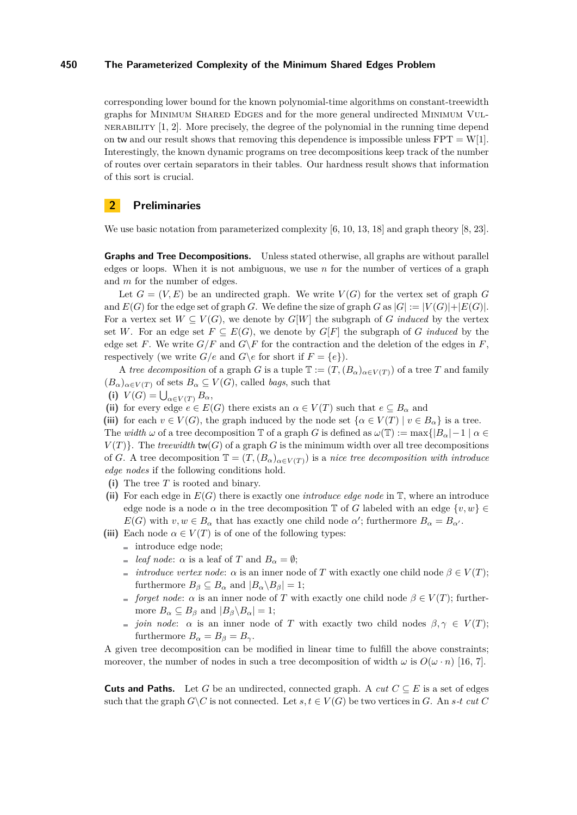corresponding lower bound for the known polynomial-time algorithms on constant-treewidth graphs for Minimum Shared Edges and for the more general undirected Minimum Vul-NERABILITY  $[1, 2]$  $[1, 2]$ . More precisely, the degree of the polynomial in the running time depend on tw and our result shows that removing this dependence is impossible unless  $FPT = W[1]$ . Interestingly, the known dynamic programs on tree decompositions keep track of the number of routes over certain separators in their tables. Our hardness result shows that information of this sort is crucial.

# **2 Preliminaries**

We use basic notation from parameterized complexity [\[6,](#page-13-6) [10,](#page-13-7) [13,](#page-13-8) [18\]](#page-14-5) and graph theory [\[8,](#page-13-9) [23\]](#page-14-6).

**Graphs and Tree Decompositions.** Unless stated otherwise, all graphs are without parallel edges or loops. When it is not ambiguous, we use *n* for the number of vertices of a graph and *m* for the number of edges.

Let  $G = (V, E)$  be an undirected graph. We write  $V(G)$  for the vertex set of graph G and  $E(G)$  for the edge set of graph *G*. We define the size of graph *G* as  $|G| := |V(G)| + |E(G)|$ . For a vertex set  $W \subseteq V(G)$ , we denote by  $G[W]$  the subgraph of *G induced* by the vertex set *W*. For an edge set  $F \subseteq E(G)$ , we denote by  $G[F]$  the subgraph of *G induced* by the edge set *F*. We write  $G/F$  and  $G\ F$  for the contraction and the deletion of the edges in *F*, respectively (we write  $G/e$  and  $G\backslash e$  for short if  $F = \{e\}$ ).

A *tree decomposition* of a graph *G* is a tuple  $\mathbb{T} := (T,(B_\alpha)_{\alpha \in V(T)})$  of a tree *T* and family  $(B_{\alpha})_{\alpha \in V(T)}$  of sets  $B_{\alpha} \subseteq V(G)$ , called *bags*, such that

- **(i)**  $V(G) = \bigcup_{\alpha \in V(T)} B_{\alpha},$
- (ii) for every edge  $e \in E(G)$  there exists an  $\alpha \in V(T)$  such that  $e \subseteq B_{\alpha}$  and

**(iii)** for each  $v \in V(G)$ , the graph induced by the node set  $\{\alpha \in V(T) \mid v \in B_{\alpha}\}\)$  is a tree. The *width*  $\omega$  of a tree decomposition T of a graph *G* is defined as  $\omega(T) := \max\{|B_{\alpha}| - 1 | \alpha \in$  $V(T)$ . The *treewidth* tw(*G*) of a graph *G* is the minimum width over all tree decompositions of *G*. A tree decomposition  $\mathbb{T} = (T, (B_\alpha)_{\alpha \in V(T)})$  is a *nice tree decomposition with introduce edge nodes* if the following conditions hold.

- **(i)** The tree *T* is rooted and binary.
- **(ii)** For each edge in *E*(*G*) there is exactly one *introduce edge node* in T, where an introduce edge node is a node  $\alpha$  in the tree decomposition T of *G* labeled with an edge  $\{v, w\} \in$ *E*(*G*) with  $v, w \in B_\alpha$  that has exactly one child node *α*'; furthermore  $B_\alpha = B_{\alpha'}$ .
- (iii) Each node  $\alpha \in V(T)$  is of one of the following types:
	- $\equiv$  introduce edge node;
	- *leaf node:*  $\alpha$  is a leaf of *T* and  $B_{\alpha} = \emptyset$ ;
	- *introduce vertex node:*  $\alpha$  is an inner node of *T* with exactly one child node  $\beta \in V(T)$ ; furthermore  $B_{\beta} \subseteq B_{\alpha}$  and  $|B_{\alpha} \setminus B_{\beta}| = 1$ ;
	- *forget node*:  $\alpha$  is an inner node of *T* with exactly one child node  $\beta \in V(T)$ ; furthermore  $B_{\alpha} \subseteq B_{\beta}$  and  $|B_{\beta} \backslash B_{\alpha}| = 1$ ;
	- *join node:*  $\alpha$  is an inner node of *T* with exactly two child nodes  $\beta, \gamma \in V(T)$ ; furthermore  $B_{\alpha} = B_{\beta} = B_{\gamma}$ .

A given tree decomposition can be modified in linear time to fulfill the above constraints; moreover, the number of nodes in such a tree decomposition of width  $\omega$  is  $O(\omega \cdot n)$  [\[16,](#page-13-10) [7\]](#page-13-11).

**Cuts and Paths.** Let *G* be an undirected, connected graph. A *cut*  $C \subseteq E$  is a set of edges such that the graph  $G\backslash C$  is not connected. Let  $s, t \in V(G)$  be two vertices in *G*. An  $s$ *-t cut*  $C$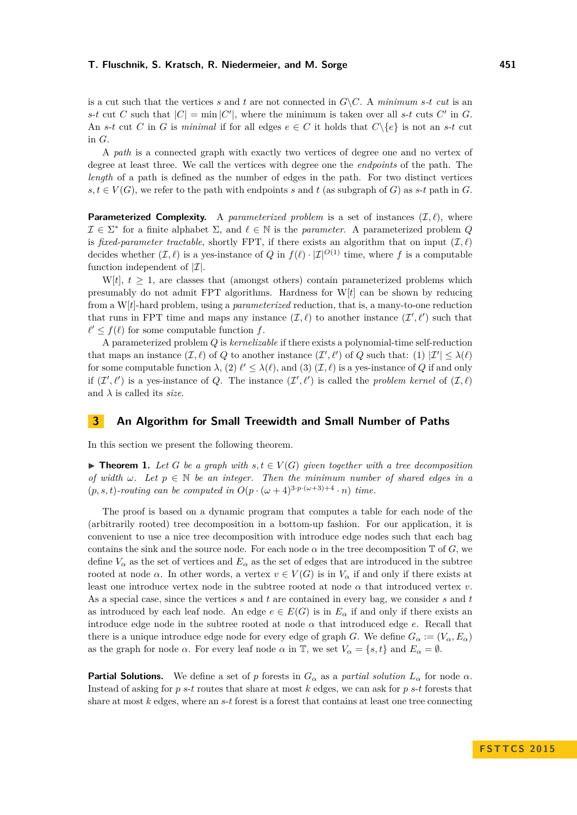is a cut such that the vertices *s* and *t* are not connected in  $G\setminus C$ . A *minimum s-t cut* is an *s*-*t* cut *C* such that  $|C| = \min |C'|$ , where the minimum is taken over all *s*-*t* cuts *C'* in *G*. An *s*-*t* cut *C* in *G* is *minimal* if for all edges  $e \in C$  it holds that  $C \setminus \{e\}$  is not an *s*-*t* cut in *G*.

A *path* is a connected graph with exactly two vertices of degree one and no vertex of degree at least three. We call the vertices with degree one the *endpoints* of the path. The *length* of a path is defined as the number of edges in the path. For two distinct vertices  $s, t \in V(G)$ , we refer to the path with endpoints *s* and *t* (as subgraph of *G*) as *s*-*t* path in *G*.

**Parameterized Complexity.** A *parameterized problem* is a set of instances  $(\mathcal{I}, \ell)$ , where  $\mathcal{I} \in \Sigma^*$  for a finite alphabet  $\Sigma$ , and  $\ell \in \mathbb{N}$  is the *parameter*. A parameterized problem *Q* is *fixed-parameter tractable*, shortly FPT, if there exists an algorithm that on input  $(\mathcal{I}, \ell)$ decides whether  $(\mathcal{I}, \ell)$  is a yes-instance of *Q* in  $f(\ell) \cdot |\mathcal{I}|^{O(1)}$  time, where *f* is a computable function independent of  $|\mathcal{I}|$ .

W[*t*],  $t \geq 1$ , are classes that (amongst others) contain parameterized problems which presumably do not admit FPT algorithms. Hardness for W[*t*] can be shown by reducing from a W[*t*]-hard problem, using a *parameterized* reduction, that is, a many-to-one reduction that runs in FPT time and maps any instance  $(\mathcal{I}, \ell)$  to another instance  $(\mathcal{I}', \ell')$  such that  $\ell' \leq f(\ell)$  for some computable function *f*.

A parameterized problem *Q* is *kernelizable* if there exists a polynomial-time self-reduction that maps an instance  $(\mathcal{I}, \ell)$  of *Q* to another instance  $(\mathcal{I}', \ell')$  of *Q* such that: (1)  $|\mathcal{I}'| \leq \lambda(\ell)$ for some computable function  $\lambda$ , (2)  $\ell' \leq \lambda(\ell)$ , and (3)  $(\mathcal{I}, \ell)$  is a yes-instance of *Q* if and only if  $(\mathcal{I}', \ell')$  is a yes-instance of *Q*. The instance  $(\mathcal{I}', \ell')$  is called the *problem kernel* of  $(\mathcal{I}, \ell)$ and  $\lambda$  is called its *size*.

## <span id="page-3-0"></span>**3 An Algorithm for Small Treewidth and Small Number of Paths**

In this section we present the following theorem.

<span id="page-3-1"></span>▶ **Theorem 1.** Let *G* be a graph with  $s, t \in V(G)$  given together with a tree decomposition *of width*  $\omega$ . Let  $p \in \mathbb{N}$  be an integer. Then the minimum number of shared edges in a  $(p, s, t)$ -routing can be computed in  $O(p \cdot (\omega + 4)^{3 \cdot p \cdot (\omega + 3) + 4} \cdot n)$  time.

The proof is based on a dynamic program that computes a table for each node of the (arbitrarily rooted) tree decomposition in a bottom-up fashion. For our application, it is convenient to use a nice tree decomposition with introduce edge nodes such that each bag contains the sink and the source node. For each node  $\alpha$  in the tree decomposition  $\mathbb T$  of  $G$ , we define  $V_\alpha$  as the set of vertices and  $E_\alpha$  as the set of edges that are introduced in the subtree rooted at node  $\alpha$ . In other words, a vertex  $v \in V(G)$  is in  $V_{\alpha}$  if and only if there exists at least one introduce vertex node in the subtree rooted at node *α* that introduced vertex *v*. As a special case, since the vertices *s* and *t* are contained in every bag, we consider *s* and *t* as introduced by each leaf node. An edge  $e \in E(G)$  is in  $E_{\alpha}$  if and only if there exists an introduce edge node in the subtree rooted at node  $\alpha$  that introduced edge  $e$ . Recall that there is a unique introduce edge node for every edge of graph *G*. We define  $G_{\alpha} := (V_{\alpha}, E_{\alpha})$ as the graph for node  $\alpha$ . For every leaf node  $\alpha$  in  $\mathbb{T}$ , we set  $V_{\alpha} = \{s, t\}$  and  $E_{\alpha} = \emptyset$ .

**Partial Solutions.** We define a set of *p* forests in  $G_\alpha$  as a *partial solution*  $L_\alpha$  for node  $\alpha$ . Instead of asking for *p s*-*t* routes that share at most *k* edges, we can ask for *p s*-*t* forests that share at most *k* edges, where an *s*-*t* forest is a forest that contains at least one tree connecting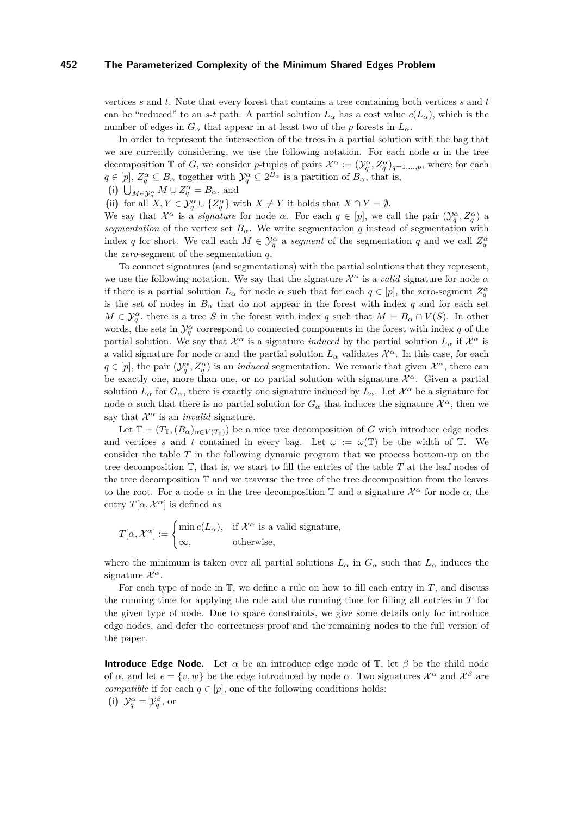vertices *s* and *t*. Note that every forest that contains a tree containing both vertices *s* and *t* can be "reduced" to an *s*-*t* path. A partial solution  $L_{\alpha}$  has a cost value  $c(L_{\alpha})$ , which is the number of edges in  $G_{\alpha}$  that appear in at least two of the *p* forests in  $L_{\alpha}$ .

In order to represent the intersection of the trees in a partial solution with the bag that we are currently considering, we use the following notation. For each node  $\alpha$  in the tree decomposition  $\mathbb{T}$  of *G*, we consider *p*-tuples of pairs  $\mathcal{X}^{\alpha} := (\mathcal{Y}_q^{\alpha}, Z_q^{\alpha})_{q=1,\dots,p}$ , where for each  $q \in [p], Z_q^{\alpha} \subseteq B_{\alpha}$  together with  $\mathcal{Y}_q^{\alpha} \subseteq 2^{B_{\alpha}}$  is a partition of  $B_{\alpha}$ , that is,

(i)  $\bigcup_{M \in \mathcal{Y}_q^{\alpha}} M \cup Z_q^{\alpha} = B_\alpha$ , and

(ii) for all  $X, Y \in \mathcal{Y}_q^{\alpha} \cup \{Z_q^{\alpha}\}\$  with  $X \neq Y$  it holds that  $X \cap Y = \emptyset$ .

We say that  $\mathcal{X}^{\alpha}$  is a *signature* for node  $\alpha$ . For each  $q \in [p]$ , we call the pair  $(\mathcal{Y}_q^{\alpha}, \mathcal{Z}_q^{\alpha})$  a *segmentation* of the vertex set  $B_\alpha$ . We write segmentation *q* instead of segmentation with index *q* for short. We call each  $M \in \mathcal{Y}_q^{\alpha}$  a *segment* of the segmentation *q* and we call  $Z_q^{\alpha}$ the *zero*-segment of the segmentation *q*.

To connect signatures (and segmentations) with the partial solutions that they represent, we use the following notation. We say that the signature X *<sup>α</sup>* is a *valid* signature for node *α* if there is a partial solution  $L_{\alpha}$  for node  $\alpha$  such that for each  $q \in [p]$ , the zero-segment  $Z_q^{\alpha}$ is the set of nodes in  $B_\alpha$  that do not appear in the forest with index q and for each set  $M \in \mathcal{Y}_q^{\alpha}$ , there is a tree *S* in the forest with index *q* such that  $M = B_{\alpha} \cap V(S)$ . In other words, the sets in  $\mathcal{Y}_q^{\alpha}$  correspond to connected components in the forest with index *q* of the partial solution. We say that  $\mathcal{X}^{\alpha}$  is a signature *induced* by the partial solution  $L_{\alpha}$  if  $\mathcal{X}^{\alpha}$  is a valid signature for node  $\alpha$  and the partial solution  $L_{\alpha}$  validates  $\mathcal{X}^{\alpha}$ . In this case, for each  $q \in [p]$ , the pair  $(\mathcal{Y}_q^{\alpha}, Z_q^{\alpha})$  is an *induced* segmentation. We remark that given  $\mathcal{X}^{\alpha}$ , there can be exactly one, more than one, or no partial solution with signature  $\mathcal{X}^{\alpha}$ . Given a partial solution  $L_{\alpha}$  for  $G_{\alpha}$ , there is exactly one signature induced by  $L_{\alpha}$ . Let  $\mathcal{X}^{\alpha}$  be a signature for node  $\alpha$  such that there is no partial solution for  $G_{\alpha}$  that induces the signature  $\mathcal{X}^{\alpha}$ , then we say that  $\mathcal{X}^{\alpha}$  is an *invalid* signature.

Let  $\mathbb{T} = (T_{\mathbb{T}}, (B_{\alpha})_{\alpha \in V(T_{\mathbb{T}})})$  be a nice tree decomposition of *G* with introduce edge nodes and vertices *s* and *t* contained in every bag. Let  $\omega := \omega(\mathbb{T})$  be the width of  $\mathbb{T}$ . We consider the table *T* in the following dynamic program that we process bottom-up on the tree decomposition T, that is, we start to fill the entries of the table *T* at the leaf nodes of the tree decomposition T and we traverse the tree of the tree decomposition from the leaves to the root. For a node  $\alpha$  in the tree decomposition T and a signature  $\mathcal{X}^{\alpha}$  for node  $\alpha$ , the entry  $T[\alpha, \mathcal{X}^{\alpha}]$  is defined as

$$
T[\alpha, \mathcal{X}^{\alpha}] := \begin{cases} \min c(L_{\alpha}), & \text{if } \mathcal{X}^{\alpha} \text{ is a valid signature,} \\ \infty, & \text{otherwise,} \end{cases}
$$

where the minimum is taken over all partial solutions  $L_{\alpha}$  in  $G_{\alpha}$  such that  $L_{\alpha}$  induces the signature X *α*.

For each type of node in T, we define a rule on how to fill each entry in *T*, and discuss the running time for applying the rule and the running time for filling all entries in *T* for the given type of node. Due to space constraints, we give some details only for introduce edge nodes, and defer the correctness proof and the remaining nodes to the full version of the paper.

**Introduce Edge Node.** Let  $\alpha$  be an introduce edge node of  $\mathbb{T}$ , let  $\beta$  be the child node of  $\alpha$ , and let  $e = \{v, w\}$  be the edge introduced by node  $\alpha$ . Two signatures  $\mathcal{X}^{\alpha}$  and  $\mathcal{X}^{\beta}$  are *compatible* if for each  $q \in [p]$ , one of the following conditions holds: (i)  $\mathcal{Y}_q^{\alpha} = \mathcal{Y}_q^{\beta}$ , or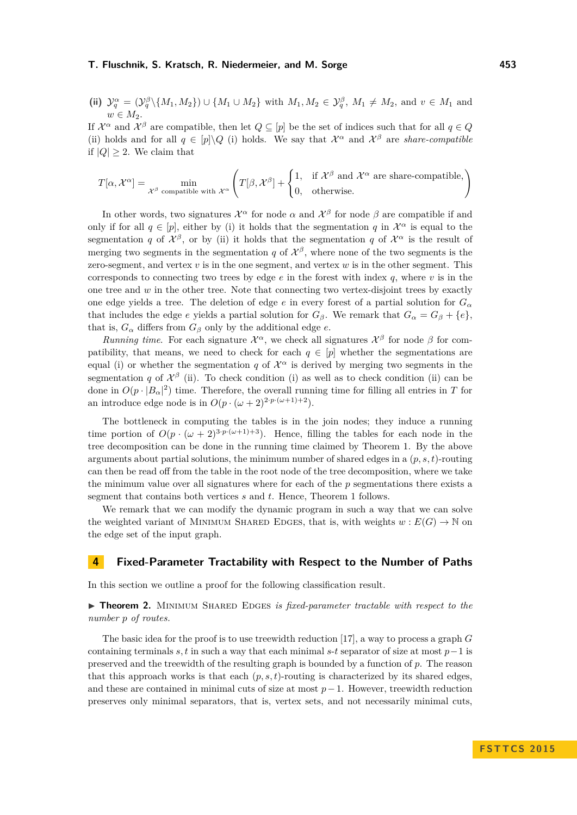(ii) 
$$
\mathcal{Y}_q^{\alpha} = (\mathcal{Y}_q^{\beta} \setminus \{M_1, M_2\}) \cup \{M_1 \cup M_2\}
$$
 with  $M_1, M_2 \in \mathcal{Y}_q^{\beta}, M_1 \neq M_2$ , and  $v \in M_1$  and  $w \in M_2$ .

If  $\mathcal{X}^{\alpha}$  and  $\mathcal{X}^{\beta}$  are compatible, then let  $Q \subseteq [p]$  be the set of indices such that for all  $q \in Q$ (ii) holds and for all  $q \in [p] \setminus Q$  (i) holds. We say that  $\mathcal{X}^{\alpha}$  and  $\mathcal{X}^{\beta}$  are *share-compatible* if  $|Q| \geq 2$ . We claim that

$$
T[\alpha, \mathcal{X}^{\alpha}] = \min_{\mathcal{X}^{\beta} \text{ compatible with } \mathcal{X}^{\alpha}} \left( T[\beta, \mathcal{X}^{\beta}] + \begin{cases} 1, & \text{if } \mathcal{X}^{\beta} \text{ and } \mathcal{X}^{\alpha} \text{ are share-compatible,} \\ 0, & \text{otherwise.} \end{cases} \right)
$$

In other words, two signatures  $\mathcal{X}^{\alpha}$  for node  $\alpha$  and  $\mathcal{X}^{\beta}$  for node  $\beta$  are compatible if and only if for all  $q \in [p]$ , either by (i) it holds that the segmentation *q* in  $\mathcal{X}^{\alpha}$  is equal to the segmentation *q* of  $\mathcal{X}^{\beta}$ , or by (ii) it holds that the segmentation *q* of  $\mathcal{X}^{\alpha}$  is the result of merging two segments in the segmentation *q* of  $\mathcal{X}^{\beta}$ , where none of the two segments is the zero-segment, and vertex *v* is in the one segment, and vertex *w* is in the other segment. This corresponds to connecting two trees by edge  $e$  in the forest with index  $q$ , where  $v$  is in the one tree and  $w$  in the other tree. Note that connecting two vertex-disjoint trees by exactly one edge yields a tree. The deletion of edge *e* in every forest of a partial solution for  $G_\alpha$ that includes the edge *e* yields a partial solution for  $G_{\beta}$ . We remark that  $G_{\alpha} = G_{\beta} + \{e\},\$ that is,  $G_{\alpha}$  differs from  $G_{\beta}$  only by the additional edge *e*.

*Running time.* For each signature  $\mathcal{X}^{\alpha}$ , we check all signatures  $\mathcal{X}^{\beta}$  for node  $\beta$  for compatibility, that means, we need to check for each  $q \in [p]$  whether the segmentations are equal (i) or whether the segmentation *q* of  $\mathcal{X}^{\alpha}$  is derived by merging two segments in the segmentation *q* of  $\mathcal{X}^{\beta}$  (ii). To check condition (i) as well as to check condition (ii) can be done in  $O(p \cdot |B_\alpha|^2)$  time. Therefore, the overall running time for filling all entries in *T* for an introduce edge node is in  $O(p \cdot (\omega+2)^{2 \cdot p \cdot (\omega+1)+2})$ .

The bottleneck in computing the tables is in the join nodes; they induce a running time portion of  $O(p \cdot (\omega + 2)^{3 \cdot p \cdot (\omega + 1) + 3})$ . Hence, filling the tables for each node in the tree decomposition can be done in the running time claimed by Theorem [1.](#page-3-1) By the above arguments about partial solutions, the minimum number of shared edges in a (*p, s, t*)-routing can then be read off from the table in the root node of the tree decomposition, where we take the minimum value over all signatures where for each of the *p* segmentations there exists a segment that contains both vertices *s* and *t*. Hence, Theorem [1](#page-3-1) follows.

We remark that we can modify the dynamic program in such a way that we can solve the weighted variant of MINIMUM SHARED EDGES, that is, with weights  $w : E(G) \to \mathbb{N}$  on the edge set of the input graph.

## <span id="page-5-0"></span>**4 Fixed-Parameter Tractability with Respect to the Number of Paths**

In this section we outline a proof for the following classification result.

<span id="page-5-1"></span>**Findmergeright Theorem 2.** MINIMUM SHARED EDGES *is fixed-parameter tractable with respect to the number p of routes.*

The basic idea for the proof is to use treewidth reduction [\[17\]](#page-14-4), a way to process a graph *G* containing terminals  $s, t$  in such a way that each minimal  $s$ - $t$  separator of size at most  $p-1$  is preserved and the treewidth of the resulting graph is bounded by a function of *p*. The reason that this approach works is that each  $(p, s, t)$ -routing is characterized by its shared edges, and these are contained in minimal cuts of size at most *p*−1. However, treewidth reduction preserves only minimal separators, that is, vertex sets, and not necessarily minimal cuts,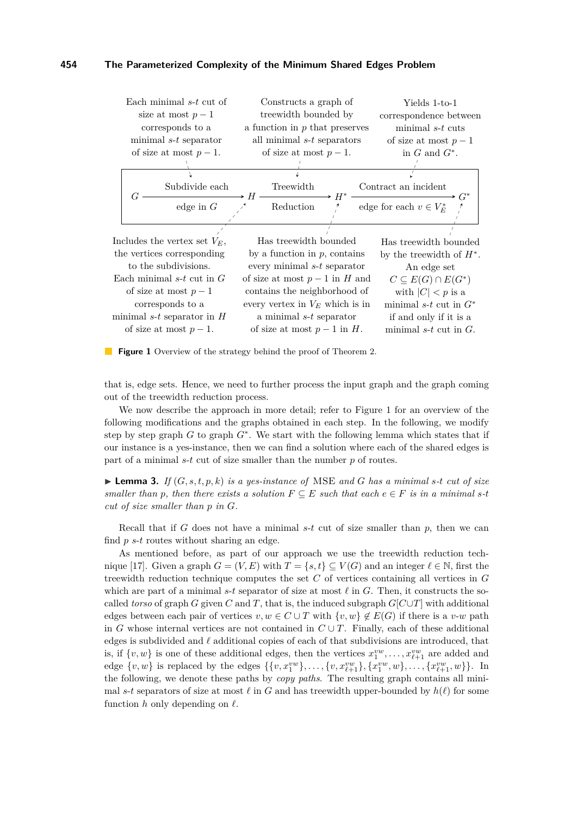<span id="page-6-0"></span>

**Figure 1** Overview of the strategy behind the proof of Theorem [2.](#page-5-1)

that is, edge sets. Hence, we need to further process the input graph and the graph coming out of the treewidth reduction process.

We now describe the approach in more detail; refer to Figure [1](#page-6-0) for an overview of the following modifications and the graphs obtained in each step. In the following, we modify step by step graph *G* to graph *G*<sup>∗</sup> . We start with the following lemma which states that if our instance is a yes-instance, then we can find a solution where each of the shared edges is part of a minimal *s*-*t* cut of size smaller than the number *p* of routes.

<span id="page-6-1"></span>**Example 3.** *If*  $(G, s, t, p, k)$  *is a yes-instance of* MSE *and G has a minimal s*-*t cut of size smaller than p*, then there exists a solution  $F \subseteq E$  such that each  $e \in F$  *is in a minimal* s-*t cut of size smaller than p in G.*

Recall that if *G* does not have a minimal *s*-*t* cut of size smaller than *p*, then we can find *p s*-*t* routes without sharing an edge.

As mentioned before, as part of our approach we use the treewidth reduction tech-nique [\[17\]](#page-14-4). Given a graph  $G = (V, E)$  with  $T = \{s, t\} \subseteq V(G)$  and an integer  $\ell \in \mathbb{N}$ , first the treewidth reduction technique computes the set *C* of vertices containing all vertices in *G* which are part of a minimal  $s$ -*t* separator of size at most  $\ell$  in  $G$ . Then, it constructs the socalled *torso* of graph *G* given *C* and *T*, that is, the induced subgraph  $G[C \cup T]$  with additional edges between each pair of vertices  $v, w \in C \cup T$  with  $\{v, w\} \notin E(G)$  if there is a *v*-*w* path in *G* whose internal vertices are not contained in  $C \cup T$ . Finally, each of these additional edges is subdivided and  $\ell$  additional copies of each of that subdivisions are introduced, that is, if  $\{v, w\}$  is one of these additional edges, then the vertices  $x_1^{vw}, \ldots, x_{\ell+1}^{vw}$  are added and edge  $\{v, w\}$  is replaced by the edges  $\{\{v, x_1^{vw}\}, \ldots, \{v, x_{\ell+1}^{vw}\}, \{x_1^{vw}, w\}, \ldots, \{x_{\ell+1}^{vw}, w\}\}.$  In the following, we denote these paths by *copy paths*. The resulting graph contains all minimal *s*-*t* separators of size at most  $\ell$  in *G* and has treewidth upper-bounded by  $h(\ell)$  for some function  $h$  only depending on  $\ell$ .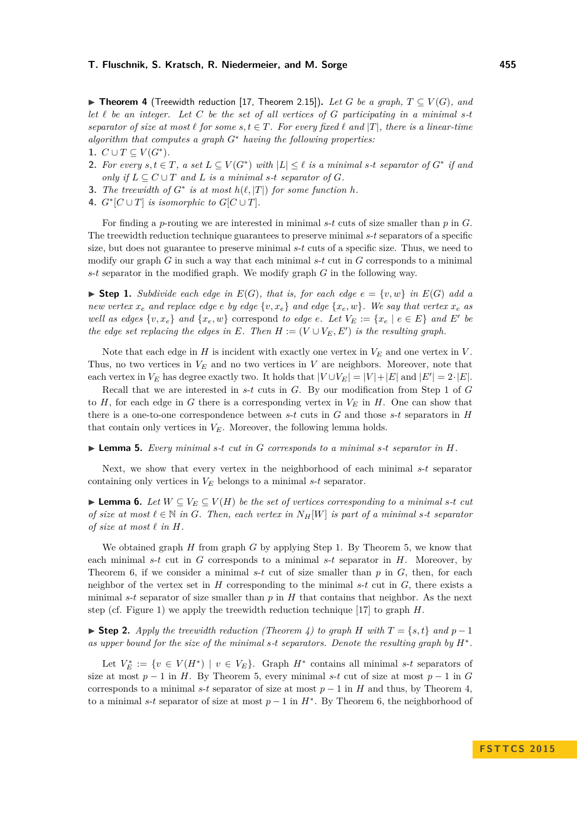<span id="page-7-3"></span>▶ **Theorem 4** (Treewidth reduction [\[17,](#page-14-4) Theorem 2.15]). Let G be a graph,  $T \subseteq V(G)$ , and let  $\ell$  be an integer. Let C be the set of all vertices of G participating in a minimal s-t *separator of size at most*  $\ell$  *for some*  $s, t \in T$ *. For every fixed*  $\ell$  *and*  $|T|$ *, there is a linear-time algorithm that computes a graph G*<sup>∗</sup> *having the following properties:*

- 1.  $C \cup T \subseteq V(G^*)$ .
- **2.** For every  $s, t \in T$ , a set  $L \subseteq V(G^*)$  with  $|L| \leq \ell$  is a minimal  $s$ - $t$  separator of  $G^*$  if and *only if*  $L \subseteq C \cup T$  *and*  $L$  *is a minimal s-t separator of*  $G$ *.*
- **3.** The treewidth of  $G^*$  is at most  $h(\ell, |T|)$  for some function  $h$ .
- **4.**  $G^*[C \cup T]$  *is isomorphic to*  $G[C \cup T]$ *.*

For finding a *p*-routing we are interested in minimal *s*-*t* cuts of size smaller than *p* in *G*. The treewidth reduction technique guarantees to preserve minimal *s*-*t* separators of a specific size, but does not guarantee to preserve minimal *s*-*t* cuts of a specific size. Thus, we need to modify our graph *G* in such a way that each minimal *s*-*t* cut in *G* corresponds to a minimal *s*-*t* separator in the modified graph. We modify graph *G* in the following way.

<span id="page-7-0"></span> $\triangleright$  **Step 1.** *Subdivide each edge in*  $E(G)$ *, that is, for each edge*  $e = \{v, w\}$  *in*  $E(G)$  *add a new vertex*  $x_e$  *and replace edge e by edge*  $\{v, x_e\}$  *and edge*  $\{x_e, w\}$ *. We say that vertex*  $x_e$  *as well as edges*  $\{v, x_e\}$  *and*  $\{x_e, w\}$  correspond *to edge e. Let*  $V_E := \{x_e \mid e \in E\}$  *and*  $E'$  *be the edge set replacing the edges in*  $E$ *. Then*  $H := (V \cup V_E, E')$  *is the resulting graph.* 

Note that each edge in  $H$  is incident with exactly one vertex in  $V_E$  and one vertex in  $V$ . Thus, no two vertices in *V<sup>E</sup>* and no two vertices in *V* are neighbors. Moreover, note that each vertex in  $V_E$  has degree exactly two. It holds that  $|V \cup V_E| = |V| + |E|$  and  $|E'| = 2 \cdot |E|$ .

Recall that we are interested in *s*-*t* cuts in *G*. By our modification from Step [1](#page-7-0) of *G* to *H*, for each edge in *G* there is a corresponding vertex in *V<sup>E</sup>* in *H*. One can show that there is a one-to-one correspondence between *s*-*t* cuts in *G* and those *s*-*t* separators in *H* that contain only vertices in  $V_E$ . Moreover, the following lemma holds.

<span id="page-7-1"></span>I **Lemma 5.** *Every minimal s-t cut in G corresponds to a minimal s-t separator in H.*

Next, we show that every vertex in the neighborhood of each minimal *s*-*t* separator containing only vertices in *V<sup>E</sup>* belongs to a minimal *s*-*t* separator.

<span id="page-7-2"></span>► **Lemma 6.** *Let*  $W \subseteq V_E \subseteq V(H)$  *be the set of vertices corresponding to a minimal s-t cut of size at most*  $\ell \in \mathbb{N}$  *in G. Then, each vertex in*  $N_H[W]$  *is part of a minimal s-t separator of size at most*  $\ell$  *in*  $H$ *.* 

We obtained graph *H* from graph *G* by applying Step [1.](#page-7-0) By Theorem [5,](#page-7-1) we know that each minimal *s*-*t* cut in *G* corresponds to a minimal *s*-*t* separator in *H*. Moreover, by Theorem [6,](#page-7-2) if we consider a minimal  $s-t$  cut of size smaller than  $p$  in  $G$ , then, for each neighbor of the vertex set in  $H$  corresponding to the minimal  $s$ - $t$  cut in  $G$ , there exists a minimal *s*-*t* separator of size smaller than  $p$  in  $H$  that contains that neighbor. As the next step (cf. Figure [1\)](#page-6-0) we apply the treewidth reduction technique [\[17\]](#page-14-4) to graph *H*.

 $\triangleright$  **Step 2.** *Apply the treewidth reduction (Theorem [4\)](#page-7-3) to graph H* with *T* = {*s, t*} *and p* − 1 *as upper bound for the size of the minimal s-t separators. Denote the resulting graph by H*<sup>∗</sup> *.*

Let  $V_E^* := \{ v \in V(H^*) \mid v \in V_E \}.$  Graph  $H^*$  contains all minimal *s*-*t* separators of size at most  $p-1$  in *H*. By Theorem [5,](#page-7-1) every minimal *s*-*t* cut of size at most  $p-1$  in *G* corresponds to a minimal  $s$ -*t* separator of size at most  $p-1$  in *H* and thus, by Theorem [4,](#page-7-3) to a minimal *s*-*t* separator of size at most  $p-1$  in  $H^*$ . By Theorem [6,](#page-7-2) the neighborhood of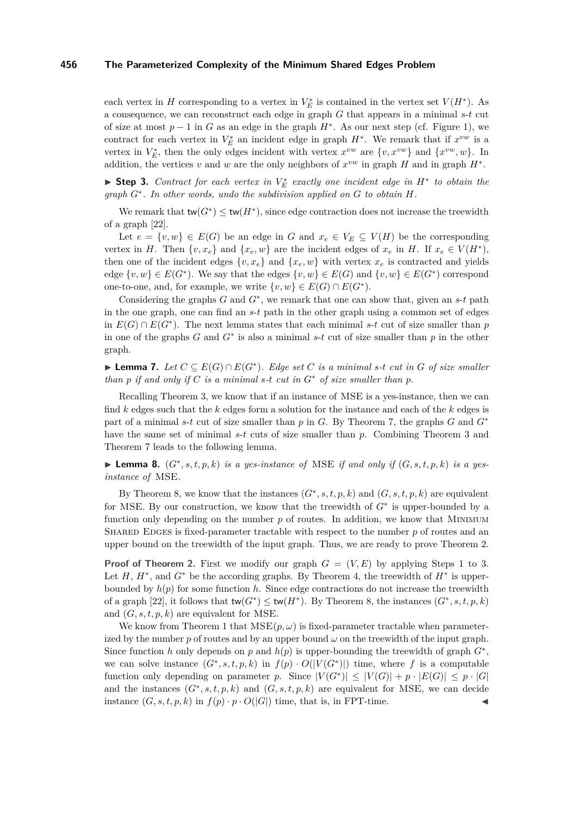each vertex in *H* corresponding to a vertex in  $V_E^*$  is contained in the vertex set  $V(H^*)$ . As a consequence, we can reconstruct each edge in graph *G* that appears in a minimal *s*-*t* cut of size at most  $p-1$  in *G* as an edge in the graph  $H^*$ . As our next step (cf. Figure [1\)](#page-6-0), we contract for each vertex in  $V_E^*$  an incident edge in graph  $H^*$ . We remark that if  $x^{vw}$  is a vertex in  $V_E^*$ , then the only edges incident with vertex  $x^{vw}$  are  $\{v, x^{vw}\}$  and  $\{x^{vw}, w\}$ . In addition, the vertices *v* and *w* are the only neighbors of  $x^{vw}$  in graph *H* and in graph  $H^*$ .

<span id="page-8-2"></span>► Step 3. *Contract for each vertex in*  $V_E^*$  *exactly one incident edge in*  $H^*$  to obtain the *graph G*<sup>∗</sup> *. In other words, undo the subdivision applied on G to obtain H.*

We remark that  $tw(G^*) \leq tw(H^*)$ , since edge contraction does not increase the treewidth of a graph [\[22\]](#page-14-7).

Let  $e = \{v, w\} \in E(G)$  be an edge in *G* and  $x_e \in V_E \subseteq V(H)$  be the corresponding vertex in *H*. Then  $\{v, x_e\}$  and  $\{x_e, w\}$  are the incident edges of  $x_e$  in *H*. If  $x_e \in V(H^*)$ , then one of the incident edges  $\{v, x_e\}$  and  $\{x_e, w\}$  with vertex  $x_e$  is contracted and yields edge  $\{v, w\} \in E(G^*)$ . We say that the edges  $\{v, w\} \in E(G)$  and  $\{v, w\} \in E(G^*)$  correspond one-to-one, and, for example, we write  $\{v, w\} \in E(G) \cap E(G^*)$ .

Considering the graphs  $G$  and  $G^*$ , we remark that one can show that, given an  $s$ - $t$  path in the one graph, one can find an *s*-*t* path in the other graph using a common set of edges in  $E(G) \cap E(G^*)$ . The next lemma states that each minimal *s*-*t* cut of size smaller than *p* in one of the graphs *G* and *G*<sup>∗</sup> is also a minimal *s*-*t* cut of size smaller than *p* in the other graph.

<span id="page-8-0"></span>▶ **Lemma 7.** *Let*  $C \subseteq E(G) \cap E(G^*)$ *. Edge set C is a minimal s-t cut in G of size smaller than p if and only if*  $C$  *is a minimal*  $s$ <sup>*-t*</sup>  $cut$  *in*  $G^*$  *of size smaller than*  $p$ *.* 

Recalling Theorem [3,](#page-6-1) we know that if an instance of MSE is a yes-instance, then we can find *k* edges such that the *k* edges form a solution for the instance and each of the *k* edges is part of a minimal *s*-*t* cut of size smaller than *p* in *G*. By Theorem [7,](#page-8-0) the graphs *G* and *G*<sup>∗</sup> have the same set of minimal *s*-*t* cuts of size smaller than *p*. Combining Theorem [3](#page-6-1) and Theorem [7](#page-8-0) leads to the following lemma.

<span id="page-8-1"></span>▶ Lemma 8.  $(G^*, s, t, p, k)$  *is a yes-instance of* MSE *if and only if*  $(G, s, t, p, k)$  *is a yesinstance of* MSE*.*

By Theorem [8,](#page-8-1) we know that the instances  $(G^*, s, t, p, k)$  and  $(G, s, t, p, k)$  are equivalent for MSE. By our construction, we know that the treewidth of *G*<sup>∗</sup> is upper-bounded by a function only depending on the number p of routes. In addition, we know that MINIMUM SHARED EDGES is fixed-parameter tractable with respect to the number p of routes and an upper bound on the treewidth of the input graph. Thus, we are ready to prove Theorem [2.](#page-5-1)

**Proof of Theorem [2.](#page-5-1)** First we modify our graph  $G = (V, E)$  by applying Steps [1](#page-7-0) to [3.](#page-8-2) Let  $H$ ,  $H^*$ , and  $G^*$  be the according graphs. By Theorem [4,](#page-7-3) the treewidth of  $H^*$  is upperbounded by  $h(p)$  for some function h. Since edge contractions do not increase the treewidth of a graph [\[22\]](#page-14-7), it follows that  $\text{tw}(G^*) \leq \text{tw}(H^*)$ . By Theorem [8,](#page-8-1) the instances  $(G^*, s, t, p, k)$ and (*G, s, t, p, k*) are equivalent for MSE.

We know from Theorem [1](#page-3-1) that  $MSE(p,\omega)$  is fixed-parameter tractable when parameterized by the number  $p$  of routes and by an upper bound  $\omega$  on the treewidth of the input graph. Since function *h* only depends on *p* and  $h(p)$  is upper-bounding the treewidth of graph  $G^*$ , we can solve instance  $(G^*, s, t, p, k)$  in  $f(p) \cdot O(|V(G^*)|)$  time, where f is a computable function only depending on parameter *p*. Since  $|V(G^*)| \leq |V(G)| + p \cdot |E(G)| \leq p \cdot |G|$ and the instances  $(G^*, s, t, p, k)$  and  $(G, s, t, p, k)$  are equivalent for MSE, we can decide instance  $(G, s, t, p, k)$  in  $f(p) \cdot p \cdot O(|G|)$  time, that is, in FPT-time.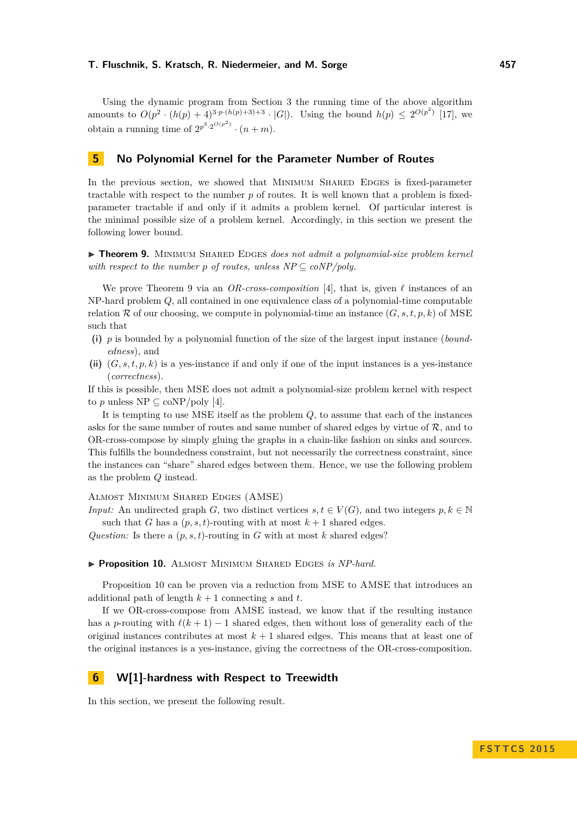Using the dynamic program from Section [3](#page-3-0) the running time of the above algorithm amounts to  $O(p^2 \cdot (h(p) + 4)^{3 \cdot p \cdot (h(p) + 3) + 3} \cdot |G|)$ . Using the bound  $h(p) \leq 2^{O(p^2)}$  [\[17\]](#page-14-4), we obtain a running time of  $2^{p^3 \cdot 2^{O(p^2)}} \cdot (n+m)$ .

## <span id="page-9-0"></span>**5 No Polynomial Kernel for the Parameter Number of Routes**

In the previous section, we showed that MINIMUM SHARED EDGES is fixed-parameter tractable with respect to the number  $p$  of routes. It is well known that a problem is fixedparameter tractable if and only if it admits a problem kernel. Of particular interest is the minimal possible size of a problem kernel. Accordingly, in this section we present the following lower bound.

<span id="page-9-1"></span>**Fheorem 9.** MINIMUM SHARED EDGES *does not admit a polynomial-size problem kernel with respect to the number p of routes, unless NP*  $\subseteq$  *coNP/poly.* 

We prove Theorem [9](#page-9-1) via an *OR-cross-composition* [\[4\]](#page-13-12), that is, given  $\ell$  instances of an NP-hard problem *Q*, all contained in one equivalence class of a polynomial-time computable relation  $\mathcal R$  of our choosing, we compute in polynomial-time an instance  $(G, s, t, p, k)$  of MSE such that

- **(i)** *p* is bounded by a polynomial function of the size of the largest input instance (*boundedness*), and
- **(ii)** (*G, s, t, p, k*) is a yes-instance if and only if one of the input instances is a yes-instance (*correctness*).

If this is possible, then MSE does not admit a polynomial-size problem kernel with respect to *p* unless  $NP \subseteq coNP/poly$  [\[4\]](#page-13-12).

It is tempting to use MSE itself as the problem *Q*, to assume that each of the instances asks for the same number of routes and same number of shared edges by virtue of  $R$ , and to OR-cross-compose by simply gluing the graphs in a chain-like fashion on sinks and sources. This fulfills the boundedness constraint, but not necessarily the correctness constraint, since the instances can "share" shared edges between them. Hence, we use the following problem as the problem *Q* instead.

Almost Minimum Shared Edges (AMSE)

*Input:* An undirected graph *G*, two distinct vertices  $s, t \in V(G)$ , and two integers  $p, k \in \mathbb{N}$ such that *G* has a  $(p, s, t)$ -routing with at most  $k + 1$  shared edges.

*Question:* Is there a  $(p, s, t)$ -routing in *G* with at most *k* shared edges?

<span id="page-9-2"></span>**Proposition 10.** ALMOST MINIMUM SHARED EDGES *is NP-hard.* 

Proposition [10](#page-9-2) can be proven via a reduction from MSE to AMSE that introduces an additional path of length  $k + 1$  connecting *s* and *t*.

If we OR-cross-compose from AMSE instead, we know that if the resulting instance has a *p*-routing with  $\ell(k + 1) - 1$  shared edges, then without loss of generality each of the original instances contributes at most  $k+1$  shared edges. This means that at least one of the original instances is a yes-instance, giving the correctness of the OR-cross-composition.

# **6 W[1]-hardness with Respect to Treewidth**

In this section, we present the following result.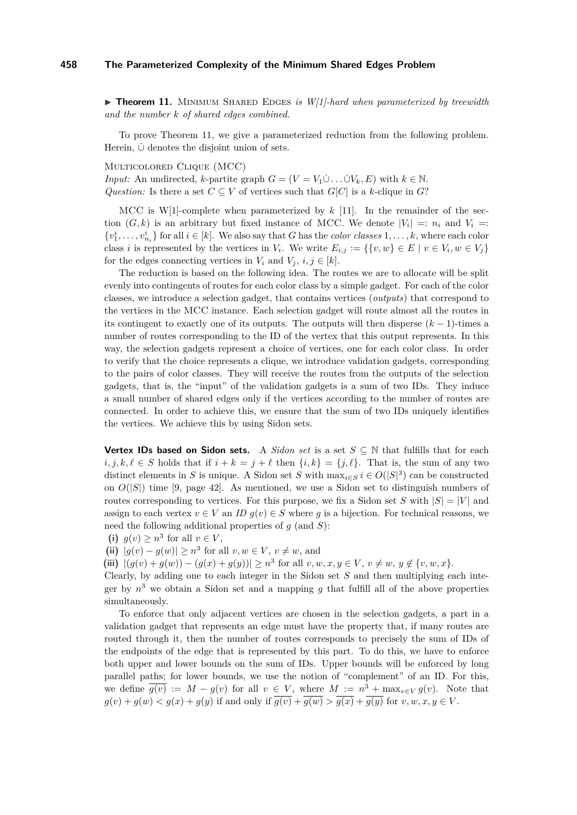<span id="page-10-0"></span> $\triangleright$  **Theorem 11.** MINIMUM SHARED EDGES *is W[1]-hard when parameterized by treewidth and the number k of shared edges combined.*

To prove Theorem [11,](#page-10-0) we give a parameterized reduction from the following problem. Herein,  $\dot{\cup}$  denotes the disjoint union of sets.

Multicolored Clique (MCC)

*Input:* An undirected, *k*-partite graph  $G = (V = V_1 \dot{\cup} \dots \dot{\cup} V_k, E)$  with  $k \in \mathbb{N}$ . *Question:* Is there a set  $C \subseteq V$  of vertices such that  $G[C]$  is a *k*-clique in  $G$ ?

MCC is W[1]-complete when parameterized by  $k$  [\[11\]](#page-13-13). In the remainder of the section  $(G, k)$  is an arbitrary but fixed instance of MCC. We denote  $|V_i| =: n_i$  and  $V_i =:$  $\{v_1^i, \ldots, v_{n_i}^i\}$  for all  $i \in [k]$ . We also say that *G* has the *color classes* 1, ..., *k*, where each color class *i* is represented by the vertices in  $V_i$ . We write  $E_{i,j} := \{ \{v, w\} \in E \mid v \in V_i, w \in V_j \}$ for the edges connecting vertices in  $V_i$  and  $V_j$ ,  $i, j \in [k]$ .

The reduction is based on the following idea. The routes we are to allocate will be split evenly into contingents of routes for each color class by a simple gadget. For each of the color classes, we introduce a selection gadget, that contains vertices (*outputs*) that correspond to the vertices in the MCC instance. Each selection gadget will route almost all the routes in its contingent to exactly one of its outputs. The outputs will then disperse  $(k-1)$ -times a number of routes corresponding to the ID of the vertex that this output represents. In this way, the selection gadgets represent a choice of vertices, one for each color class. In order to verify that the choice represents a clique, we introduce validation gadgets, corresponding to the pairs of color classes. They will receive the routes from the outputs of the selection gadgets, that is, the "input" of the validation gadgets is a sum of two IDs. They induce a small number of shared edges only if the vertices according to the number of routes are connected. In order to achieve this, we ensure that the sum of two IDs uniquely identifies the vertices. We achieve this by using Sidon sets.

**Vertex IDs based on Sidon sets.** A *Sidon set* is a set  $S \subseteq \mathbb{N}$  that fulfills that for each  $i, j, k, \ell \in S$  holds that if  $i + k = j + \ell$  then  $\{i, k\} = \{j, \ell\}$ . That is, the sum of any two distinct elements in *S* is unique. A Sidon set *S* with  $\max_{i \in S} i \in O(|S|^3)$  can be constructed on  $O(|S|)$  time [\[9,](#page-13-14) page 42]. As mentioned, we use a Sidon set to distinguish numbers of routes corresponding to vertices. For this purpose, we fix a Sidon set *S* with  $|S| = |V|$  and assign to each vertex  $v \in V$  an *ID*  $g(v) \in S$  where *g* is a bijection. For technical reasons, we need the following additional properties of *g* (and *S*):

(i)  $g(v) \geq n^3$  for all  $v \in V$ ,

(ii)  $|g(v) - g(w)| \geq n^3$  for all  $v, w \in V$ ,  $v \neq w$ , and

(iii)  $|(g(v) + g(w)) - (g(x) + g(y))| \geq n^3$  for all  $v, w, x, y \in V$ ,  $v \neq w$ ,  $y \notin \{v, w, x\}$ .

Clearly, by adding one to each integer in the Sidon set *S* and then multiplying each integer by  $n^3$  we obtain a Sidon set and a mapping  $g$  that fulfill all of the above properties simultaneously.

To enforce that only adjacent vertices are chosen in the selection gadgets, a part in a validation gadget that represents an edge must have the property that, if many routes are routed through it, then the number of routes corresponds to precisely the sum of IDs of the endpoints of the edge that is represented by this part. To do this, we have to enforce both upper and lower bounds on the sum of IDs. Upper bounds will be enforced by long parallel paths; for lower bounds, we use the notion of "complement" of an ID. For this, we define  $\overline{g(v)} := M - g(v)$  for all  $v \in V$ , where  $M := n^3 + \max_{v \in V} g(v)$ . Note that  $g(v) + g(w) < g(x) + g(y)$  if and only if  $\overline{g(v)} + \overline{g(w)} > \overline{g(x)} + \overline{g(y)}$  for  $v, w, x, y \in V$ .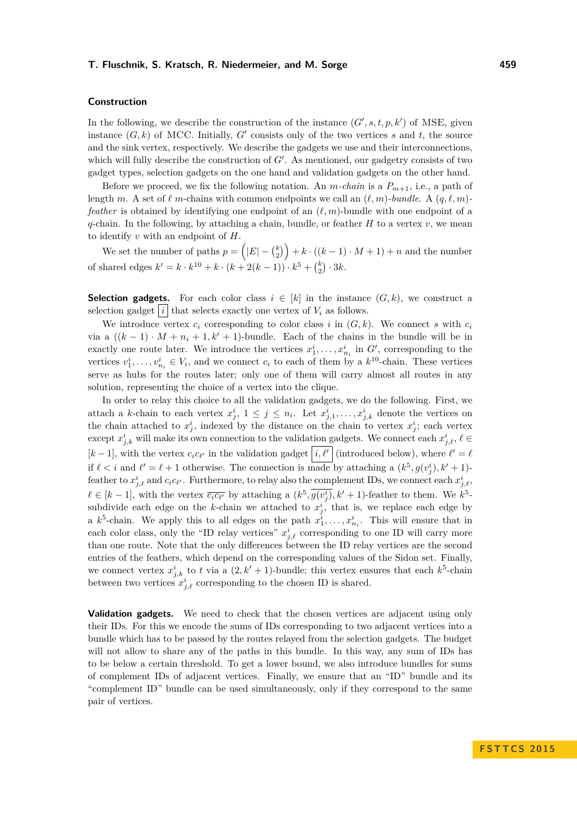#### **Construction**

In the following, we describe the construction of the instance  $(G', s, t, p, k')$  of MSE, given instance  $(G, k)$  of MCC. Initially,  $G'$  consists only of the two vertices  $s$  and  $t$ , the source and the sink vertex, respectively. We describe the gadgets we use and their interconnections, which will fully describe the construction of  $G'$ . As mentioned, our gadgetry consists of two gadget types, selection gadgets on the one hand and validation gadgets on the other hand.

Before we proceed, we fix the following notation. An *m*-chain is a  $P_{m+1}$ , i.e., a path of length *m*. A set of  $\ell$  *m*-chains with common endpoints we call an  $(\ell, m)$ -bundle. A  $(q, \ell, m)$ *feather* is obtained by identifying one endpoint of an  $(\ell, m)$ -bundle with one endpoint of a *q*-chain. In the following, by attaching a chain, bundle, or feather  $H$  to a vertex  $v$ , we mean to identify *v* with an endpoint of *H*.

We set the number of paths  $p = (|E| - {k \choose 2} + k \cdot ((k-1) \cdot M + 1) + n$  and the number of shared edges  $k' = k \cdot k^{10} + k \cdot (k + 2(k - 1)) \cdot k^5 + {k \choose 2} \cdot 3k$ .

**Selection gadgets.** For each color class  $i \in [k]$  in the instance  $(G, k)$ , we construct a selection gadget  $|i|$  that selects exactly one vertex of  $V_i$  as follows.

We introduce vertex  $c_i$  corresponding to color class *i* in  $(G, k)$ . We connect *s* with  $c_i$ via a  $((k-1) \cdot M + n_i + 1, k' + 1)$ -bundle. Each of the chains in the bundle will be in exactly one route later. We introduce the vertices  $x_1^i, \ldots, x_{n_i}^i$  in  $G'$ , corresponding to the vertices  $v_1^i, \ldots, v_{n_i}^i \in V_i$ , and we connect  $c_i$  to each of them by a  $k^{10}$ -chain. These vertices serve as hubs for the routes later; only one of them will carry almost all routes in any solution, representing the choice of a vertex into the clique.

In order to relay this choice to all the validation gadgets, we do the following. First, we attach a *k*-chain to each vertex  $x_j^i$ ,  $1 \leq j \leq n_i$ . Let  $x_{j,1}^i, \ldots, x_{j,k}^i$  denote the vertices on the chain attached to  $x_j^i$ , indexed by the distance on the chain to vertex  $x_j^i$ ; each vertex except  $x_{j,k}^i$  will make its own connection to the validation gadgets. We connect each  $x_{j,\ell}^i$ ,  $\ell \in$  $[k-1]$ , with the vertex  $c_i c_{\ell'}$  in the validation gadget  $|i, \ell'|$  (introduced below), where  $\ell' = \ell$ if  $\ell < i$  and  $\ell' = \ell + 1$  otherwise. The connection is made by attaching a  $(k^5, g(v_j^i), k' + 1)$ feather to  $x_{j,\ell}^i$  and  $c_i c_{\ell'}$ . Furthermore, to relay also the complement IDs, we connect each  $x_{j,\ell}^i$ ,  $\ell \in [k-1]$ , with the vertex  $\overline{c_i c_{\ell'}}$  by attaching a  $(k^5, g(v_j^i), k' + 1)$ -feather to them. We  $k^5$ subdivide each edge on the *k*-chain we attached to  $x_j^i$ , that is, we replace each edge by a  $k^5$ -chain. We apply this to all edges on the path  $x_1^i, \ldots, x_{n_i}^i$ . This will ensure that in each color class, only the "ID relay vertices"  $x_{j,\ell}^i$  corresponding to one ID will carry more than one route. Note that the only differences between the ID relay vertices are the second entries of the feathers, which depend on the corresponding values of the Sidon set. Finally, we connect vertex  $x_{j,k}^i$  to *t* via a  $(2, k' + 1)$ -bundle; this vertex ensures that each  $k^5$ -chain between two vertices  $x_{j,\ell}^i$  corresponding to the chosen ID is shared.

**Validation gadgets.** We need to check that the chosen vertices are adjacent using only their IDs. For this we encode the sums of IDs corresponding to two adjacent vertices into a bundle which has to be passed by the routes relayed from the selection gadgets. The budget will not allow to share any of the paths in this bundle. In this way, any sum of IDs has to be below a certain threshold. To get a lower bound, we also introduce bundles for sums of complement IDs of adjacent vertices. Finally, we ensure that an "ID" bundle and its "complement ID" bundle can be used simultaneously, only if they correspond to the same pair of vertices.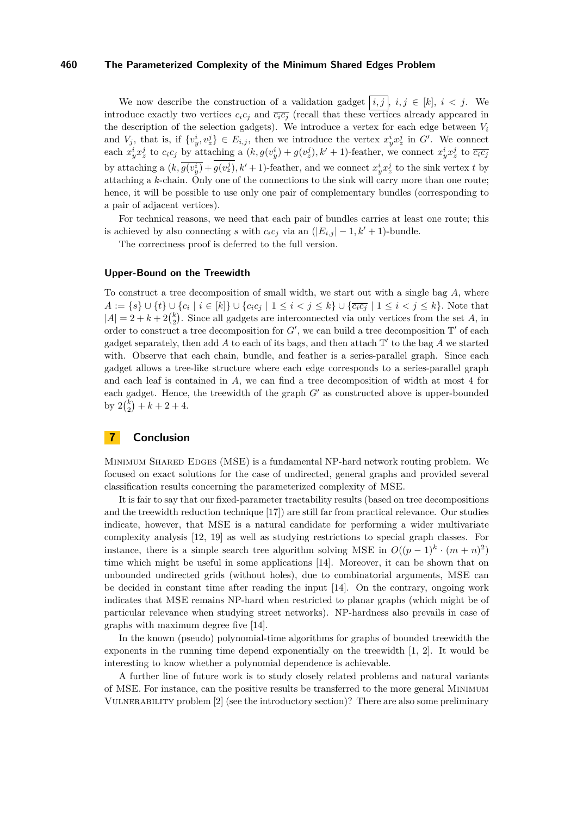We now describe the construction of a validation gadget  $(i, j)$ ,  $i, j \in [k]$ ,  $i < j$ . We introduce exactly two vertices  $c_i c_j$  and  $\overline{c_i c_j}$  (recall that these vertices already appeared in the description of the selection gadgets). We introduce a vertex for each edge between *V<sup>i</sup>* and  $V_j$ , that is, if  $\{v^i_y, v^j_z\} \in E_{i,j}$ , then we introduce the vertex  $x^i_y x^j_z$  in  $G'$ . We connect each  $x_y^i x_z^j$  to  $c_i c_j$  by attaching a  $(k, g(v_y^i) + g(v_z^j), k' + 1)$ -feather, we connect  $x_y^i x_z^j$  to  $\overline{c_i c_j}$ by attaching a  $(k, \overline{g(v_y^i)} + g(v_z^j), k' + 1)$ -feather, and we connect  $x_y^i x_z^j$  to the sink vertex t by attaching a *k*-chain. Only one of the connections to the sink will carry more than one route; hence, it will be possible to use only one pair of complementary bundles (corresponding to a pair of adjacent vertices).

For technical reasons, we need that each pair of bundles carries at least one route; this is achieved by also connecting *s* with  $c_i c_j$  via an  $(|E_{i,j}| - 1, k' + 1)$ -bundle.

The correctness proof is deferred to the full version.

#### **Upper-Bound on the Treewidth**

To construct a tree decomposition of small width, we start out with a single bag *A*, where  $A := \{s\} \cup \{t\} \cup \{c_i \mid i \in [k]\} \cup \{c_i c_j \mid 1 \leq i < j \leq k\} \cup \{\overline{c_i c_j} \mid 1 \leq i < j \leq k\}.$  Note that  $|A| = 2 + k + 2{k \choose 2}$ . Since all gadgets are interconnected via only vertices from the set *A*, in order to construct a tree decomposition for  $G'$ , we can build a tree decomposition  $\mathbb{T}'$  of each gadget separately, then add  $\tilde{A}$  to each of its bags, and then attach  $\mathbb{T}'$  to the bag  $\tilde{A}$  we started with. Observe that each chain, bundle, and feather is a series-parallel graph. Since each gadget allows a tree-like structure where each edge corresponds to a series-parallel graph and each leaf is contained in *A*, we can find a tree decomposition of width at most 4 for each gadget. Hence, the treewidth of the graph *G'* as constructed above is upper-bounded by  $2\binom{k}{2} + k + 2 + 4$ .

## **7 Conclusion**

Minimum Shared Edges (MSE) is a fundamental NP-hard network routing problem. We focused on exact solutions for the case of undirected, general graphs and provided several classification results concerning the parameterized complexity of MSE.

It is fair to say that our fixed-parameter tractability results (based on tree decompositions and the treewidth reduction technique [\[17\]](#page-14-4)) are still far from practical relevance. Our studies indicate, however, that MSE is a natural candidate for performing a wider multivariate complexity analysis [\[12,](#page-13-15) [19\]](#page-14-8) as well as studying restrictions to special graph classes. For instance, there is a simple search tree algorithm solving MSE in  $O((p-1)^k \cdot (m+n)^2)$ time which might be useful in some applications [\[14\]](#page-13-0). Moreover, it can be shown that on unbounded undirected grids (without holes), due to combinatorial arguments, MSE can be decided in constant time after reading the input [\[14\]](#page-13-0). On the contrary, ongoing work indicates that MSE remains NP-hard when restricted to planar graphs (which might be of particular relevance when studying street networks). NP-hardness also prevails in case of graphs with maximum degree five [\[14\]](#page-13-0).

In the known (pseudo) polynomial-time algorithms for graphs of bounded treewidth the exponents in the running time depend exponentially on the treewidth [\[1,](#page-13-2) [2\]](#page-13-1). It would be interesting to know whether a polynomial dependence is achievable.

A further line of future work is to study closely related problems and natural variants of MSE. For instance, can the positive results be transferred to the more general Minimum Vulnerability problem [\[2\]](#page-13-1) (see the introductory section)? There are also some preliminary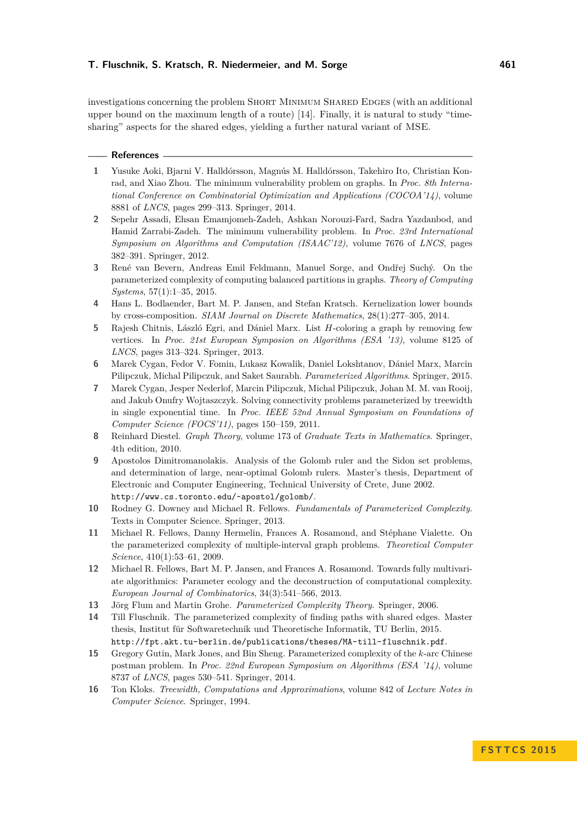investigations concerning the problem SHORT MINIMUM SHARED EDGES (with an additional upper bound on the maximum length of a route) [\[14\]](#page-13-0). Finally, it is natural to study "timesharing" aspects for the shared edges, yielding a further natural variant of MSE.

#### **References**

- <span id="page-13-2"></span>**1** Yusuke Aoki, Bjarni V. Halldórsson, Magnús M. Halldórsson, Takehiro Ito, Christian Konrad, and Xiao Zhou. The minimum vulnerability problem on graphs. In *Proc. 8th International Conference on Combinatorial Optimization and Applications (COCOA'14)*, volume 8881 of *LNCS*, pages 299–313. Springer, 2014.
- <span id="page-13-1"></span>**2** Sepehr Assadi, Ehsan Emamjomeh-Zadeh, Ashkan Norouzi-Fard, Sadra Yazdanbod, and Hamid Zarrabi-Zadeh. The minimum vulnerability problem. In *Proc. 23rd International Symposium on Algorithms and Computation (ISAAC'12)*, volume 7676 of *LNCS*, pages 382–391. Springer, 2012.
- <span id="page-13-4"></span>**3** René van Bevern, Andreas Emil Feldmann, Manuel Sorge, and Ondřej Suchý. On the parameterized complexity of computing balanced partitions in graphs. *Theory of Computing Systems*, 57(1):1–35, 2015.
- <span id="page-13-12"></span>**4** Hans L. Bodlaender, Bart M. P. Jansen, and Stefan Kratsch. Kernelization lower bounds by cross-composition. *SIAM Journal on Discrete Mathematics*, 28(1):277–305, 2014.
- <span id="page-13-3"></span>**5** Rajesh Chitnis, László Egri, and Dániel Marx. List *H*-coloring a graph by removing few vertices. In *Proc. 21st European Symposion on Algorithms (ESA '13)*, volume 8125 of *LNCS*, pages 313–324. Springer, 2013.
- <span id="page-13-6"></span>**6** Marek Cygan, Fedor V. Fomin, Lukasz Kowalik, Daniel Lokshtanov, Dániel Marx, Marcin Pilipczuk, Michal Pilipczuk, and Saket Saurabh. *Parameterized Algorithms*. Springer, 2015.
- <span id="page-13-11"></span>**7** Marek Cygan, Jesper Nederlof, Marcin Pilipczuk, Michal Pilipczuk, Johan M. M. van Rooij, and Jakub Onufry Wojtaszczyk. Solving connectivity problems parameterized by treewidth in single exponential time. In *Proc. IEEE 52nd Annual Symposium on Foundations of Computer Science (FOCS'11)*, pages 150–159, 2011.
- <span id="page-13-9"></span>**8** Reinhard Diestel. *Graph Theory*, volume 173 of *Graduate Texts in Mathematics*. Springer, 4th edition, 2010.
- <span id="page-13-14"></span>**9** Apostolos Dimitromanolakis. Analysis of the Golomb ruler and the Sidon set problems, and determination of large, near-optimal Golomb rulers. Master's thesis, Department of Electronic and Computer Engineering, Technical University of Crete, June 2002. <http://www.cs.toronto.edu/~apostol/golomb/>.
- <span id="page-13-7"></span>**10** Rodney G. Downey and Michael R. Fellows. *Fundamentals of Parameterized Complexity*. Texts in Computer Science. Springer, 2013.
- <span id="page-13-13"></span>**11** Michael R. Fellows, Danny Hermelin, Frances A. Rosamond, and Stéphane Vialette. On the parameterized complexity of multiple-interval graph problems. *Theoretical Computer Science*, 410(1):53–61, 2009.
- <span id="page-13-15"></span>**12** Michael R. Fellows, Bart M. P. Jansen, and Frances A. Rosamond. Towards fully multivariate algorithmics: Parameter ecology and the deconstruction of computational complexity. *European Journal of Combinatorics*, 34(3):541–566, 2013.
- <span id="page-13-8"></span>**13** Jörg Flum and Martin Grohe. *Parameterized Complexity Theory*. Springer, 2006.
- <span id="page-13-0"></span>**14** Till Fluschnik. The parameterized complexity of finding paths with shared edges. Master thesis, Institut für Softwaretechnik und Theoretische Informatik, TU Berlin, 2015. <http://fpt.akt.tu-berlin.de/publications/theses/MA-till-fluschnik.pdf>.
- <span id="page-13-5"></span>**15** Gregory Gutin, Mark Jones, and Bin Sheng. Parameterized complexity of the *k*-arc Chinese postman problem. In *Proc. 22nd European Symposium on Algorithms (ESA '14)*, volume 8737 of *LNCS*, pages 530–541. Springer, 2014.
- <span id="page-13-10"></span>**16** Ton Kloks. *Treewidth, Computations and Approximations*, volume 842 of *Lecture Notes in Computer Science*. Springer, 1994.